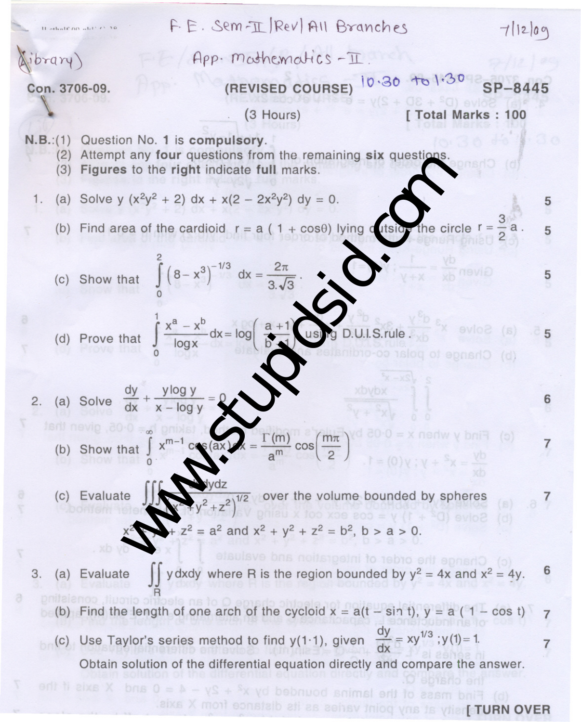E. 
$$
\sin^{-1}(\frac{1}{2}Rv) = 6
$$
  
\n(a) Solve that  $\int_{0}^{2} (8-x^3)^{-1/2} dx = \frac{2\pi}{6}$   
\n(b) Find the length of one arch of the cycloid  $x = at(1 - \sin t)$ ,  $y = a(1 - \cos t)$   
\n(c) Use Taylor's series method to find  $y(1:1)$ , given by  $\frac{dy}{dx} = xy^{1/3} \cdot y(1) = 1$   
\n $y = a(1 + \cos t)$   
\n $y = a(1 + \cos t)$   
\n $y = b(1 + \cos t)$   
\n $y = b(1 + \cos t)$   
\n $y = a(1 + \cos t)$   
\n $y = a(1 + \cos t)$   
\n $y = b(1 + \cos t)$   
\n $y = b(1 + \cos t)$   
\n $y = b(1 + \cos t)$   
\n $y = b(1 + \cos t)$   
\n $y = a(1 - \cos t)$   
\n $y = a(1 - \cos t)$   
\n $y = a(1 - \cos t)$   
\n $y = a(1 - \cos t)$   
\n $y = a(1 - \cos t)$   
\n $y = a(1 - \cos t)$   
\n $y = a(1 - \cos t)$   
\n $y = a(1 - \cos t)$   
\n $y = a(1 - \cos t)$   
\n $y = a(1 - \cos t)$   
\n $y = a(1 - \cos t)$   
\n $y = a(1 - \cos t)$   
\n $y = a(1 - \cos t)$   
\n $y = a(1 - \cos t)$   
\n $y = a(1 - \cos t)$   
\n $y = a(1 - \cos t)$   
\n $y = a(1 - \cos t)$   
\n $y = a(1 - \cos t)$   
\n $y = a(1 - \cos t)$   
\n $y = a(1 - \cos t)$   
\n $y = a(1 - \cos t)$   
\n $y = a(1 - \cos t)$   
\n $y = a(1 - \cos t)$   
\n $y = a(1 - \cos t)$   
\n $y = a(1 - \cos t)$   
\n $y = a($ 

**RIVO VAUT** joity at any point varies as its distance from X axis.